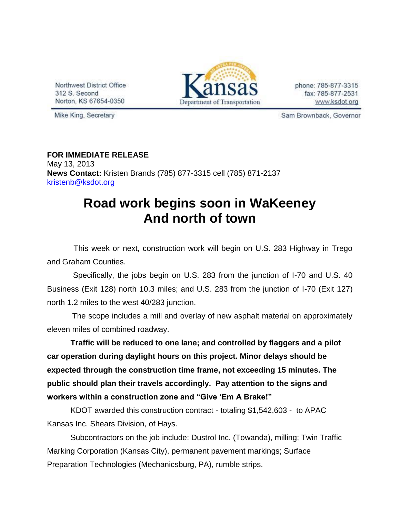Northwest District Office 312 S. Second Norton, KS 67654-0350



phone: 785-877-3315 fax: 785-877-2531 www.ksdot.org

Mike King, Secretary

Sam Brownback, Governor

## **FOR IMMEDIATE RELEASE** May 13, 2013 **News Contact:** Kristen Brands (785) 877-3315 cell (785) 871-2137 [kristenb@ksdot.org](mailto:kristenb@ksdot.org)

## **Road work begins soon in WaKeeney And north of town**

 This week or next, construction work will begin on U.S. 283 Highway in Trego and Graham Counties.

 Specifically, the jobs begin on U.S. 283 from the junction of I-70 and U.S. 40 Business (Exit 128) north 10.3 miles; and U.S. 283 from the junction of I-70 (Exit 127) north 1.2 miles to the west 40/283 junction.

 The scope includes a mill and overlay of new asphalt material on approximately eleven miles of combined roadway.

**Traffic will be reduced to one lane; and controlled by flaggers and a pilot car operation during daylight hours on this project. Minor delays should be expected through the construction time frame, not exceeding 15 minutes. The public should plan their travels accordingly. Pay attention to the signs and workers within a construction zone and "Give 'Em A Brake!"**

KDOT awarded this construction contract - totaling \$1,542,603 - to APAC Kansas Inc. Shears Division, of Hays.

Subcontractors on the job include: Dustrol Inc. (Towanda), milling; Twin Traffic Marking Corporation (Kansas City), permanent pavement markings; Surface Preparation Technologies (Mechanicsburg, PA), rumble strips.